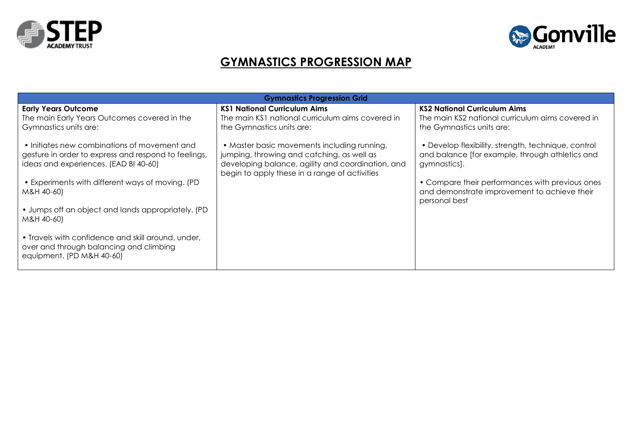



## **GYMNASTICS PROGRESSION MAP**

| <b>KS1 National Curriculum Aims</b><br><b>KS2 National Curriculum Aims</b><br><b>Early Years Outcome</b><br>The main KS1 national curriculum aims covered in<br>The main Early Years Outcomes covered in the<br>The main KS2 national curriculum aims covered in<br>Gymnastics units are:<br>the Gymnastics units are:<br>the Gymnastics units are:<br>• Initiates new combinations of movement and<br>• Master basic movements including running,<br>• Develop flexibility, strength, technique, control<br>jumping, throwing and catching, as well as<br>and balance [for example, through athletics and<br>gesture in order to express and respond to feelings, | <b>Gymnastics Progression Grid</b>    |                                                   |              |  |  |  |  |  |
|--------------------------------------------------------------------------------------------------------------------------------------------------------------------------------------------------------------------------------------------------------------------------------------------------------------------------------------------------------------------------------------------------------------------------------------------------------------------------------------------------------------------------------------------------------------------------------------------------------------------------------------------------------------------|---------------------------------------|---------------------------------------------------|--------------|--|--|--|--|--|
| begin to apply these in a range of activities<br>• Experiments with different ways of moving. (PD<br>• Compare their performances with previous ones<br>and demonstrate improvement to achieve their<br>M&H 40-60)<br>personal best<br>• Jumps off an object and lands appropriately. (PD<br>M&H 40-60)<br>• Travels with confidence and skill around, under,<br>over and through balancing and climbing<br>equipment. (PD M&H 40-60)                                                                                                                                                                                                                              | ideas and experiences. (EAD BI 40-60) | developing balance, agility and coordination, and | gymnastics]. |  |  |  |  |  |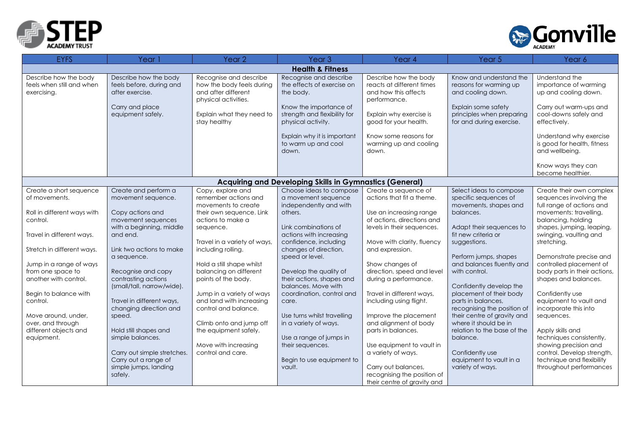



| <b>EYFS</b>                                                       | Year 1                                                               | Year <sub>2</sub>                                                                                  | Year <sub>3</sub>                                                            | Year 4                                                                                     | Year 5                                                                       | Year 6                                                                   |
|-------------------------------------------------------------------|----------------------------------------------------------------------|----------------------------------------------------------------------------------------------------|------------------------------------------------------------------------------|--------------------------------------------------------------------------------------------|------------------------------------------------------------------------------|--------------------------------------------------------------------------|
|                                                                   |                                                                      |                                                                                                    | <b>Health &amp; Fitness</b>                                                  |                                                                                            |                                                                              |                                                                          |
| Describe how the body<br>feels when still and when<br>exercising. | Describe how the body<br>feels before, during and<br>after exercise. | Recognise and describe<br>how the body feels during<br>and after different<br>physical activities. | Recognise and describe<br>the effects of exercise on<br>the body.            | Describe how the body<br>reacts at different times<br>and how this affects<br>performance. | Know and understand the<br>reasons for warming up<br>and cooling down.       | Understand the<br>importance of warming<br>up and cooling down.          |
|                                                                   | Carry and place<br>equipment safely.                                 | Explain what they need to<br>stay healthy                                                          | Know the importance of<br>strength and flexibility for<br>physical activity. | Explain why exercise is<br>good for your health.                                           | Explain some safety<br>principles when preparing<br>for and during exercise. | Carry out warm-ups and<br>cool-downs safely and<br>effectively.          |
|                                                                   |                                                                      |                                                                                                    | Explain why it is important<br>to warm up and cool<br>down.                  | Know some reasons for<br>warming up and cooling<br>down.                                   |                                                                              | Understand why exercise<br>is good for health, fitness<br>and wellbeing. |
|                                                                   |                                                                      |                                                                                                    |                                                                              |                                                                                            |                                                                              | Know ways they can<br>become healthier.                                  |
|                                                                   |                                                                      |                                                                                                    | <b>Acquiring and Developing Skills in Gymnastics (General)</b>               |                                                                                            |                                                                              |                                                                          |
| Create a short sequence                                           | Create and perform a                                                 | Copy, explore and                                                                                  | Choose ideas to compose                                                      | Create a sequence of                                                                       | Select ideas to compose                                                      | Create their own complex                                                 |
| of movements.                                                     | movement sequence.                                                   | remember actions and<br>movements to create                                                        | a movement sequence<br>independently and with                                | actions that fit a theme.                                                                  | specific sequences of<br>movements, shapes and                               | sequences involving the<br>full range of actions and                     |
| Roll in different ways with                                       | Copy actions and                                                     | their own sequence. Link                                                                           | others.                                                                      | Use an increasing range                                                                    | balances.                                                                    | movements: travelling,                                                   |
| control.                                                          | movement sequences                                                   | actions to make a                                                                                  |                                                                              | of actions, directions and                                                                 |                                                                              | balancing, holding                                                       |
|                                                                   | with a beginning, middle                                             | sequence.                                                                                          | Link combinations of                                                         | levels in their sequences.                                                                 | Adapt their sequences to                                                     | shapes, jumping, leaping,                                                |
| Travel in different ways.                                         | and end.                                                             | Travel in a variety of ways,                                                                       | actions with increasing<br>confidence, including                             | Move with clarity, fluency                                                                 | fit new criteria or<br>suggestions.                                          | swinging, vaulting and<br>stretching.                                    |
| Stretch in different ways.                                        | Link two actions to make                                             | including rolling.                                                                                 | changes of direction,                                                        | and expression.                                                                            |                                                                              |                                                                          |
|                                                                   | a sequence.                                                          |                                                                                                    | speed or level.                                                              |                                                                                            | Perform jumps, shapes                                                        | Demonstrate precise and                                                  |
| Jump in a range of ways                                           |                                                                      | Hold a still shape whilst                                                                          |                                                                              | Show changes of                                                                            | and balances fluently and                                                    | controlled placement of                                                  |
| from one space to                                                 | Recognise and copy                                                   | balancing on different                                                                             | Develop the quality of                                                       | direction, speed and level                                                                 | with control.                                                                | body parts in their actions,                                             |
| another with control.                                             | contrasting actions<br>(small/tall, narrow/wide).                    | points of the body.                                                                                | their actions, shapes and<br>balances. Move with                             | during a performance.                                                                      | Confidently develop the                                                      | shapes and balances.                                                     |
| Begin to balance with                                             |                                                                      | Jump in a variety of ways                                                                          | coordination, control and                                                    | Travel in different ways,                                                                  | placement of their body                                                      | Confidently use                                                          |
| control.                                                          | Travel in different ways,                                            | and land with increasing                                                                           | care.                                                                        | including using flight.                                                                    | parts in balances,                                                           | equipment to vault and                                                   |
|                                                                   | changing direction and                                               | control and balance.                                                                               |                                                                              |                                                                                            | recognising the position of                                                  | incorporate this into                                                    |
| Move around, under,                                               | speed.                                                               |                                                                                                    | Use turns whilst travelling                                                  | Improve the placement                                                                      | their centre of gravity and                                                  | sequences.                                                               |
| over, and through                                                 |                                                                      | Climb onto and jump off                                                                            | in a variety of ways.                                                        | and alignment of body                                                                      | where it should be in                                                        |                                                                          |
| different objects and                                             | Hold still shapes and                                                | the equipment safely.                                                                              |                                                                              | parts in balances.                                                                         | relation to the base of the                                                  | Apply skills and                                                         |
| equipment.                                                        | simple balances.                                                     |                                                                                                    | Use a range of jumps in                                                      |                                                                                            | balance.                                                                     | techniques consistently,                                                 |
|                                                                   |                                                                      | Move with increasing                                                                               | their sequences.                                                             | Use equipment to vault in                                                                  |                                                                              | showing precision and                                                    |
|                                                                   | Carry out simple stretches.                                          | control and care.                                                                                  |                                                                              | a variety of ways.                                                                         | Confidently use                                                              | control. Develop strength,                                               |
|                                                                   | Carry out a range of<br>simple jumps, landing                        |                                                                                                    | Begin to use equipment to<br>vault.                                          | Carry out balances,                                                                        | equipment to vault in a<br>variety of ways.                                  | technique and flexibility<br>throughout performances                     |
|                                                                   | safely.                                                              |                                                                                                    |                                                                              | recognising the position of                                                                |                                                                              |                                                                          |
|                                                                   |                                                                      |                                                                                                    |                                                                              | their centre of gravity and                                                                |                                                                              |                                                                          |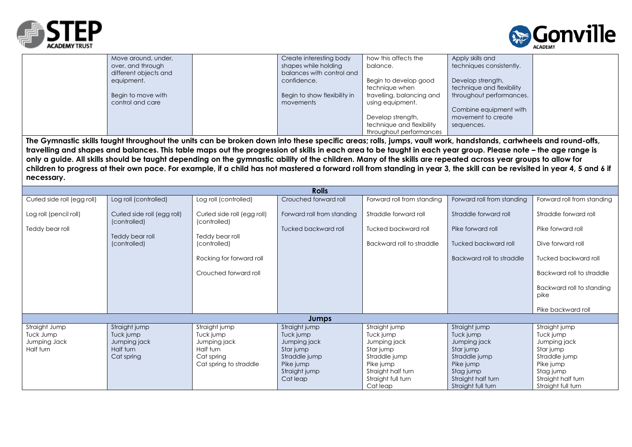



| Move around, under,   | Create interesting body      | how this affects the      | Apply skills and          |  |
|-----------------------|------------------------------|---------------------------|---------------------------|--|
| over, and through     | shapes while holding         | balance.                  | techniques consistently.  |  |
| different objects and | balances with control and    |                           |                           |  |
| equipment.            | confidence.                  | Begin to develop good     | Develop strength,         |  |
|                       |                              | technique when            | technique and flexibility |  |
| Begin to move with    | Begin to show flexibility in | travelling, balancing and | throughout performances.  |  |
| control and care      | movements                    | using equipment.          |                           |  |
|                       |                              |                           | Combine equipment with    |  |
|                       |                              | Develop strength,         | movement to create        |  |
|                       |                              | technique and flexibility | sequences.                |  |
|                       |                              | throughout performances   |                           |  |

**The Gymnastic skills taught throughout the units can be broken down into these specific areas; rolls, jumps, vault work, handstands, cartwheels and round-offs, travelling and shapes and balances. This table maps out the progression of skills in each area to be taught in each year group. Please note – the age range is only a guide. All skills should be taught depending on the gymnastic ability of the children. Many of the skills are repeated across year groups to allow for children to progress at their own pace. For example, if a child has not mastered a forward roll from standing in year 3, the skill can be revisited in year 4, 5 and 6 if necessary.**

| <b>Rolls</b>                |                                             |                                             |                            |                                          |                                 |                                   |
|-----------------------------|---------------------------------------------|---------------------------------------------|----------------------------|------------------------------------------|---------------------------------|-----------------------------------|
| Curled side roll (egg roll) | Log roll (controlled)                       | Log roll (controlled)                       | Crouched forward roll      | Forward roll from standing               | Forward roll from standing      | Forward roll from standing        |
| Log roll (pencil roll)      | Curled side roll (egg roll)<br>(controlled) | Curled side roll (egg roll)<br>(controlled) | Forward roll from standing | Straddle forward roll                    | Straddle forward roll           | Straddle forward roll             |
| Teddy bear roll             |                                             |                                             | Tucked backward roll       | Tucked backward roll                     | Pike forward roll               | Pike forward roll                 |
|                             | Teddy bear roll<br>(controlled)             | Teddy bear roll<br>(controlled)             |                            | Backward roll to straddle                | Tucked backward roll            | Dive forward roll                 |
|                             |                                             | Rocking for forward roll                    |                            |                                          | Backward roll to straddle       | Tucked backward roll              |
|                             |                                             | Crouched forward roll                       |                            |                                          |                                 | Backward roll to straddle         |
|                             |                                             |                                             |                            |                                          |                                 | Backward roll to standing<br>pike |
|                             |                                             |                                             |                            |                                          |                                 | Pike backward roll                |
|                             |                                             |                                             | Jumps                      |                                          |                                 |                                   |
| Straight Jump               | Straight jump                               | Straight jump                               | Straight jump              | Straight jump                            | Straight jump                   | Straight jump                     |
| Tuck Jump                   | Tuck jump                                   | Tuck jump                                   | Tuck jump                  | Tuck jump                                | Tuck jump                       | Tuck jump                         |
| Jumping Jack                | Jumping jack                                | Jumping jack                                | Jumping jack               | Jumping jack                             | Jumping jack                    | Jumping jack                      |
| Half turn                   | Half turn                                   | Half turn                                   | Star jump                  | Star jump                                | Star jump                       | Star jump                         |
|                             | Cat spring                                  | Cat spring                                  | Straddle jump              | Straddle jump                            | Straddle jump                   | Straddle jump                     |
|                             |                                             | Cat spring to straddle                      | Pike jump                  | Pike jump                                | Pike jump                       | Pike jump                         |
|                             |                                             |                                             | Straight jump<br>Cat leap  | Straight half turn<br>Straight full turn | Stag jump<br>Straight half turn | Stag jump<br>Straight half turn   |
|                             |                                             |                                             |                            | Cat leap                                 | Straight full turn              | Straight full turn                |
|                             |                                             |                                             |                            |                                          |                                 |                                   |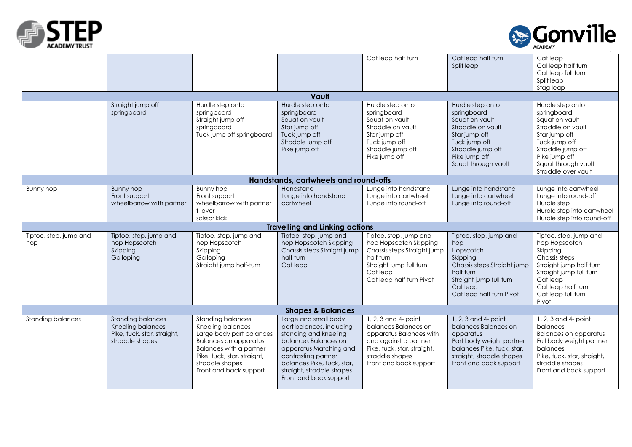



|                                            |                                                                                                                            |                                                                                                                                                                                                                         | Vault                                                                                                                                                                                                                                   | Cat leap half turn                                                                                                                                                                                          | Cat leap half turn<br>Split leap                                                                                                                                           | Cat leap<br>Cal leap half turn<br>Cat leap full turn<br>Split leap<br>Stag leap                                                                                                                                                                       |  |
|--------------------------------------------|----------------------------------------------------------------------------------------------------------------------------|-------------------------------------------------------------------------------------------------------------------------------------------------------------------------------------------------------------------------|-----------------------------------------------------------------------------------------------------------------------------------------------------------------------------------------------------------------------------------------|-------------------------------------------------------------------------------------------------------------------------------------------------------------------------------------------------------------|----------------------------------------------------------------------------------------------------------------------------------------------------------------------------|-------------------------------------------------------------------------------------------------------------------------------------------------------------------------------------------------------------------------------------------------------|--|
|                                            | Straight jump off<br>springboard                                                                                           | Hurdle step onto<br>springboard<br>Straight jump off<br>springboard<br>Tuck jump off springboard                                                                                                                        | Hurdle step onto<br>springboard<br>Squat on vault<br>Star jump off<br>Tuck jump off<br>Straddle jump off<br>Pike jump off                                                                                                               | Hurdle step onto<br>springboard<br>Squat on vault<br>Straddle on vault<br>Star jump off<br>Tuck jump off<br>Straddle jump off<br>Pike jump off                                                              | Hurdle step onto<br>springboard<br>Squat on vault<br>Straddle on vault<br>Star jump off<br>Tuck jump off<br>Straddle jump off<br>Pike jump off<br>Squat through vault      | Hurdle step onto<br>springboard<br>Squat on vault<br>Straddle on vault<br>Star jump off<br>Tuck jump off<br>Straddle jump off<br>Pike jump off<br>Squat through vault<br>Straddle over vault                                                          |  |
|                                            |                                                                                                                            |                                                                                                                                                                                                                         | Handstands, cartwheels and round-offs                                                                                                                                                                                                   |                                                                                                                                                                                                             |                                                                                                                                                                            |                                                                                                                                                                                                                                                       |  |
| Bunny hop<br>Tiptoe, step, jump and<br>hop | Bunny hop<br>Front support<br>wheelbarrow with partner<br>Tiptoe, step, jump and<br>hop Hopscotch<br>Skipping<br>Galloping | Bunny hop<br>Front support<br>wheelbarrow with partner<br>t-lever<br>scissor kick<br>Tiptoe, step, jump and<br>hop Hopscotch<br>Skipping<br>Galloping<br>Straight jump half-turn                                        | Handstand<br>Lunge into handstand<br>cartwheel<br><b>Travelling and Linking actions</b><br>Tiptoe, step, jump and<br>hop Hopscotch Skipping<br>Chassis steps Straight jump<br>half turn<br>Cat leap                                     | Lunge into handstand<br>Lunge into cartwheel<br>Lunge into round-off<br>Tiptoe, step, jump and<br>hop Hopscotch Skipping<br>Chassis steps Straight jump<br>half turn<br>Straight jump full turn<br>Cat leap | Lunge into handstand<br>Lunge into cartwheel<br>Lunge into round-off<br>Tiptoe, step, jump and<br>hop<br>Hopscotch<br>Skipping<br>Chassis steps Straight jump<br>half turn | Lunge into cartwheel<br>Lunge into round-off<br>Hurdle step<br>Hurdle step into cartwheel<br>Hurdle step into round-off<br>Tiptoe, step, jump and<br>hop Hopscotch<br>Skipping<br>Chassis steps<br>Straight jump half turn<br>Straight jump full turn |  |
|                                            |                                                                                                                            |                                                                                                                                                                                                                         |                                                                                                                                                                                                                                         | Cat leap half turn Pivot                                                                                                                                                                                    | Straight jump full turn<br>Cat leap<br>Cat leap half turn Pivot                                                                                                            | Cat leap<br>Cat leap half turn<br>Cat leap full turn<br>Pivot                                                                                                                                                                                         |  |
| <b>Shapes &amp; Balances</b>               |                                                                                                                            |                                                                                                                                                                                                                         |                                                                                                                                                                                                                                         |                                                                                                                                                                                                             |                                                                                                                                                                            |                                                                                                                                                                                                                                                       |  |
| <b>Standing balances</b>                   | <b>Standing balances</b><br>Kneeling balances<br>Pike, tuck, star, straight,<br>straddle shapes                            | <b>Standing balances</b><br>Kneeling balances<br>Large body part balances<br><b>Balances on apparatus</b><br><b>Balances with a partner</b><br>Pike, tuck, star, straight,<br>straddle shapes<br>Front and back support | Large and small body<br>part balances, including<br>standing and kneeling<br>balances Balances on<br>apparatus Matching and<br>contrasting partner<br>balances Pike, tuck, star,<br>straight, straddle shapes<br>Front and back support | 1, 2, 3 and 4- point<br>balances Balances on<br>apparatus Balances with<br>and against a partner<br>Pike, tuck, star, straight,<br>straddle shapes<br>Front and back support                                | 1, 2, 3 and 4- point<br>balances Balances on<br>apparatus<br>Part body weight partner<br>balances Pike, tuck, star,<br>straight, straddle shapes<br>Front and back support | $1, 2, 3$ and $4$ - point<br>balances<br><b>Balances on apparatus</b><br>Full body weight partner<br>balances<br>Pike, tuck, star, straight,<br>straddle shapes<br>Front and back support                                                             |  |